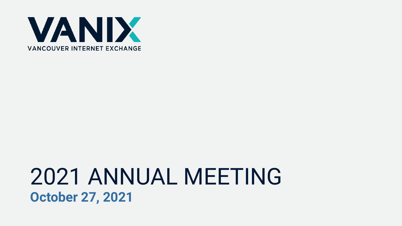

### 2021 ANNUAL MEETING **October 27, 2021**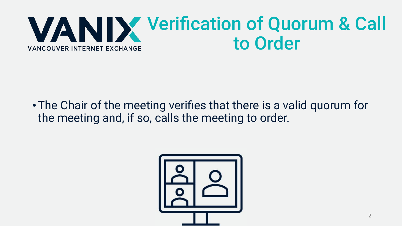#### Verification of Quorum & Call to Order **VANCOUVER INTERNET EXCHANGE**

•The Chair of the meeting verifies that there is a valid quorum for the meeting and, if so, calls the meeting to order.

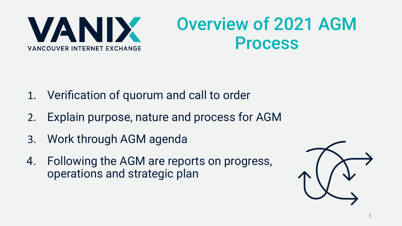

### Overview of 2021 AGM Process

- 1. Verification of quorum and call to order
- 2. Explain purpose, nature and process for AGM
- 3. Work through AGM agenda
- 4. Following the AGM are reports on progress, operations and strategic plan

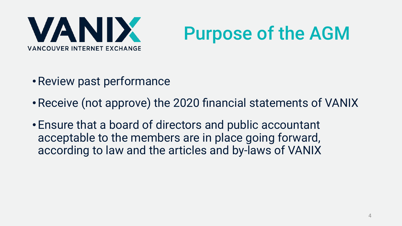

## Purpose of the AGM

- •Review past performance
- •Receive (not approve) the 2020 financial statements of VANIX
- Ensure that a board of directors and public accountant acceptable to the members are in place going forward, according to law and the articles and by-laws of VANIX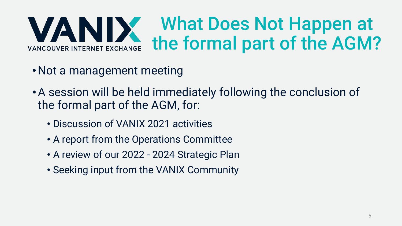#### What Does Not Happen at VANIX the formal part of the AGM? **VANCOUVER INTERNET EXCHANGE**

- Not a management meeting
- •A session will be held immediately following the conclusion of the formal part of the AGM, for:
	- Discussion of VANIX 2021 activities
	- A report from the Operations Committee
	- A review of our 2022 2024 Strategic Plan
	- Seeking input from the VANIX Community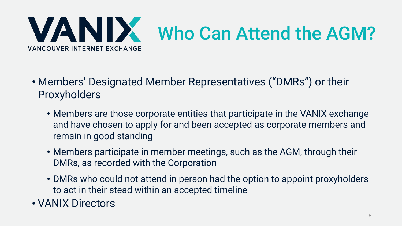

- Members' Designated Member Representatives ("DMRs") or their Proxyholders
	- Members are those corporate entities that participate in the VANIX exchange and have chosen to apply for and been accepted as corporate members and remain in good standing
	- Members participate in member meetings, such as the AGM, through their DMRs, as recorded with the Corporation
	- DMRs who could not attend in person had the option to appoint proxyholders to act in their stead within an accepted timeline
- VANIX Directors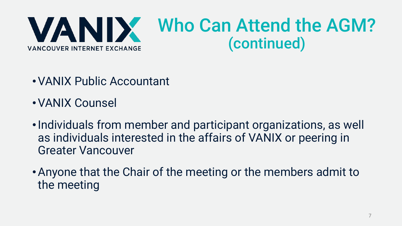

- •VANIX Public Accountant
- •VANIX Counsel
- •Individuals from member and participant organizations, as well as individuals interested in the affairs of VANIX or peering in Greater Vancouver
- •Anyone that the Chair of the meeting or the members admit to the meeting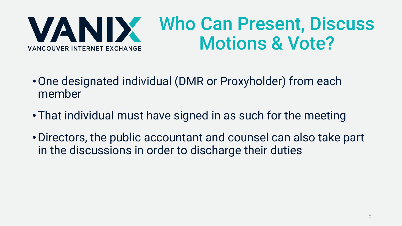

### Who Can Present, Discuss Motions & Vote?

- •One designated individual (DMR or Proxyholder) from each member
- •That individual must have signed in as such for the meeting
- •Directors, the public accountant and counsel can also take part in the discussions in order to discharge their duties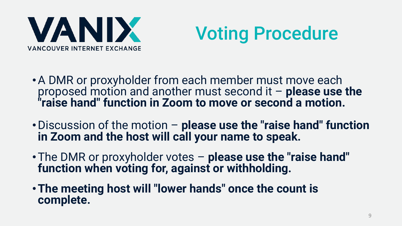

## Voting Procedure

- •A DMR or proxyholder from each member must move each proposed motion and another must second it – **please use the "raise hand" function in Zoom to move or second a motion.**
- •Discussion of the motion **please use the "raise hand" function in Zoom and the host will call your name to speak.**
- •The DMR or proxyholder votes **please use the "raise hand" function when voting for, against or withholding.**
- •**The meeting host will "lower hands" once the count is complete.**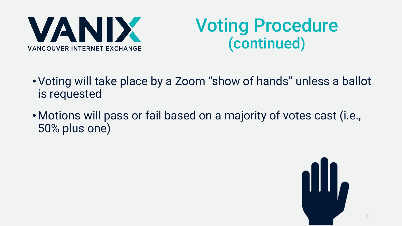

### Voting Procedure (continued)

- •Voting will take place by a Zoom "show of hands" unless a ballot is requested
- •Motions will pass or fail based on a majority of votes cast (i.e., 50% plus one)

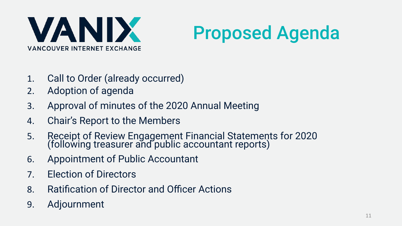

## Proposed Agenda

- 1. Call to Order (already occurred)
- 2. Adoption of agenda
- 3. Approval of minutes of the 2020 Annual Meeting
- 4. Chair's Report to the Members
- 5. Receipt of Review Engagement Financial Statements for 2020 (following treasurer and public accountant reports)
- 6. Appointment of Public Accountant
- 7. Election of Directors
- 8. Ratification of Director and Officer Actions
- 9. Adjournment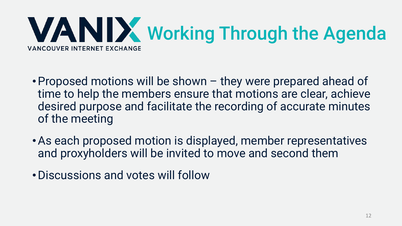

- •Proposed motions will be shown they were prepared ahead of time to help the members ensure that motions are clear, achieve desired purpose and facilitate the recording of accurate minutes of the meeting
- •As each proposed motion is displayed, member representatives and proxyholders will be invited to move and second them
- •Discussions and votes will follow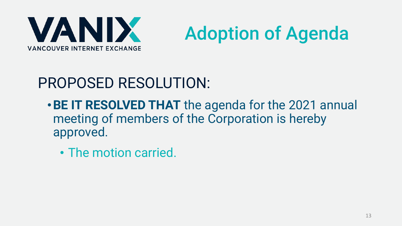

# Adoption of Agenda

### PROPOSED RESOLUTION:

- •**BE IT RESOLVED THAT** the agenda for the 2021 annual meeting of members of the Corporation is hereby approved.
	- The motion carried.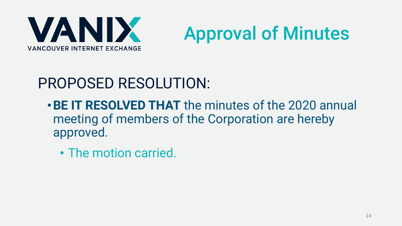



### PROPOSED RESOLUTION:

- •**BE IT RESOLVED THAT** the minutes of the 2020 annual meeting of members of the Corporation are hereby approved.
	- The motion carried.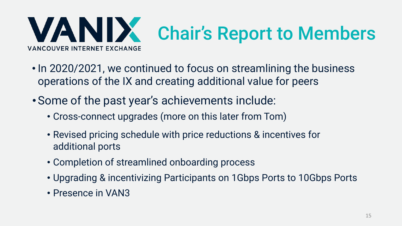

- In 2020/2021, we continued to focus on streamlining the business operations of the IX and creating additional value for peers
- Some of the past year's achievements include:
	- Cross-connect upgrades (more on this later from Tom)
	- Revised pricing schedule with price reductions & incentives for additional ports
	- Completion of streamlined onboarding process
	- Upgrading & incentivizing Participants on 1Gbps Ports to 10Gbps Ports
	- Presence in VAN3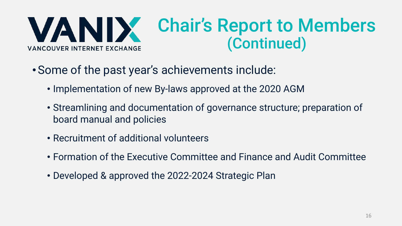VANIX **VANCOUVER INTERNET EXCHANGE** 

### Chair's Report to Members (Continued)

- Some of the past year's achievements include:
	- Implementation of new By-laws approved at the 2020 AGM
	- Streamlining and documentation of governance structure; preparation of board manual and policies
	- Recruitment of additional volunteers
	- Formation of the Executive Committee and Finance and Audit Committee
	- Developed & approved the 2022-2024 Strategic Plan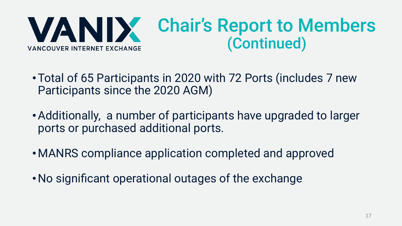

- •Total of 65 Participants in 2020 with 72 Ports (includes 7 new Participants since the 2020 AGM)
- •Additionally, a number of participants have upgraded to larger ports or purchased additional ports.
- •MANRS compliance application completed and approved
- No significant operational outages of the exchange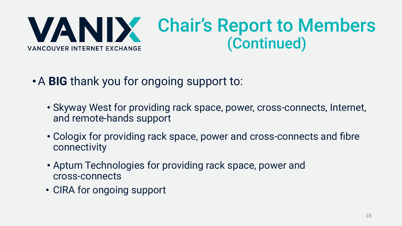

- •A **BIG** thank you for ongoing support to:
	- Skyway West for providing rack space, power, cross-connects, Internet, and remote-hands support
	- Cologix for providing rack space, power and cross-connects and fibre connectivity
	- Aptum Technologies for providing rack space, power and cross-connects
	- CIRA for ongoing support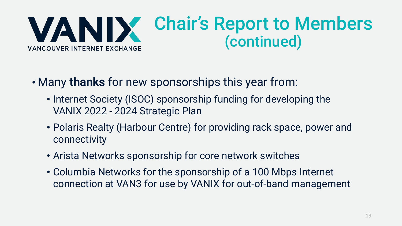

- Many **thanks** for new sponsorships this year from:
	- Internet Society (ISOC) sponsorship funding for developing the VANIX 2022 - 2024 Strategic Plan
	- Polaris Realty (Harbour Centre) for providing rack space, power and connectivity
	- Arista Networks sponsorship for core network switches
	- Columbia Networks for the sponsorship of a 100 Mbps Internet connection at VAN3 for use by VANIX for out-of-band management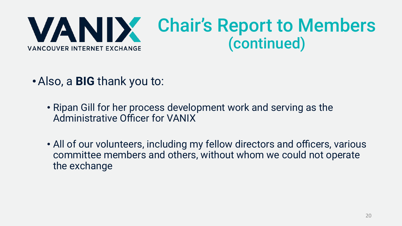

- •Also, a **BIG** thank you to:
	- Ripan Gill for her process development work and serving as the Administrative Officer for VANIX
	- All of our volunteers, including my fellow directors and officers, various committee members and others, without whom we could not operate the exchange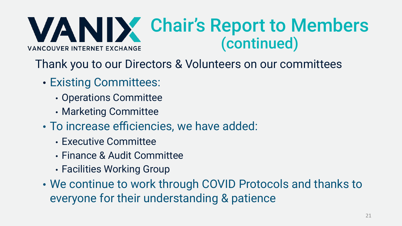VANIX Chair's Report to Members (continued)**VANCOUVER INTERNET EXCHANGE** 

Thank you to our Directors & Volunteers on our committees

- Existing Committees:
	- Operations Committee
	- Marketing Committee
- To increase efficiencies, we have added:
	- Executive Committee
	- Finance & Audit Committee
	- Facilities Working Group
- We continue to work through COVID Protocols and thanks to everyone for their understanding & patience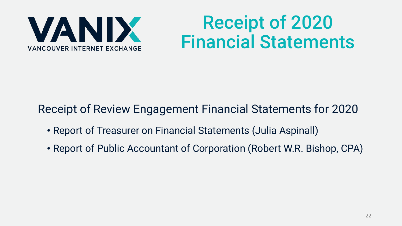

### Receipt of 2020 Financial Statements

#### Receipt of Review Engagement Financial Statements for 2020

- Report of Treasurer on Financial Statements (Julia Aspinall)
- Report of Public Accountant of Corporation (Robert W.R. Bishop, CPA)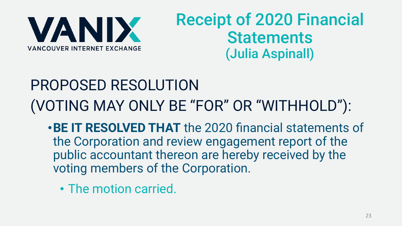

### Receipt of 2020 Financial **Statements** (Julia Aspinall)

### PROPOSED RESOLUTION (VOTING MAY ONLY BE "FOR" OR "WITHHOLD"):

- •**BE IT RESOLVED THAT** the 2020 financial statements of the Corporation and review engagement report of the public accountant thereon are hereby received by the voting members of the Corporation.
	- The motion carried.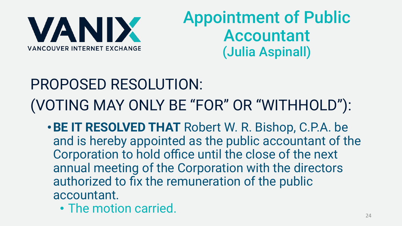

### Appointment of Public Accountant (Julia Aspinall)

### PROPOSED RESOLUTION: (VOTING MAY ONLY BE "FOR" OR "WITHHOLD"):

- •**BE IT RESOLVED THAT** Robert W. R. Bishop, C.P.A. be and is hereby appointed as the public accountant of the Corporation to hold office until the close of the next annual meeting of the Corporation with the directors authorized to fix the remuneration of the public accountant.
	- The motion carried.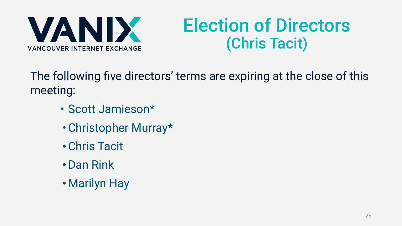

### Election of Directors (Chris Tacit)

The following five directors' terms are expiring at the close of this meeting:

- Scott Jamieson\*
- •Christopher Murray\*
- •Chris Tacit
- •Dan Rink
- •Marilyn Hay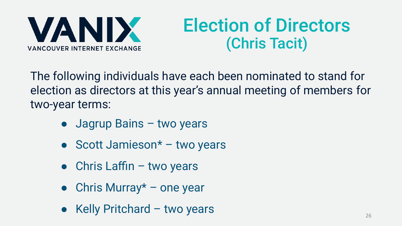VANIX **VANCOUVER INTERNET EXCHANGE** 

### Election of Directors (Chris Tacit)

The following individuals have each been nominated to stand for election as directors at this year's annual meeting of members for two-year terms:

- Jagrup Bains two years
- Scott Jamieson $*$  two years
- $\bullet$  Chris Laffin two years
- Chris Murray $*$  one year
- $\bullet$  Kelly Pritchard two years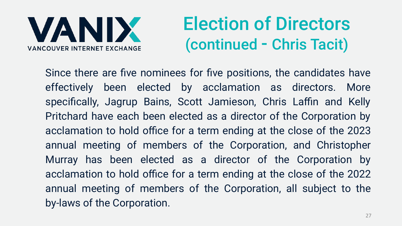**VANIX VANCOUVER INTERNET EXCHANGE** 

### Election of Directors (continued - Chris Tacit)

Since there are five nominees for five positions, the candidates have effectively been elected by acclamation as directors. More specifically, Jagrup Bains, Scott Jamieson, Chris Laffin and Kelly Pritchard have each been elected as a director of the Corporation by acclamation to hold office for a term ending at the close of the 2023 annual meeting of members of the Corporation, and Christopher Murray has been elected as a director of the Corporation by acclamation to hold office for a term ending at the close of the 2022 annual meeting of members of the Corporation, all subject to the by-laws of the Corporation.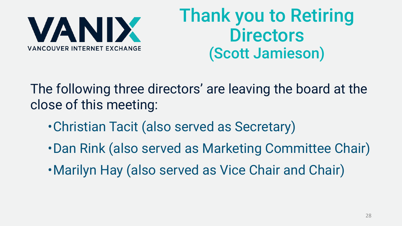

### Thank you to Retiring **Directors** (Scott Jamieson)

The following three directors' are leaving the board at the close of this meeting:

- •Christian Tacit (also served as Secretary)
- •Dan Rink (also served as Marketing Committee Chair)
- •Marilyn Hay (also served as Vice Chair and Chair)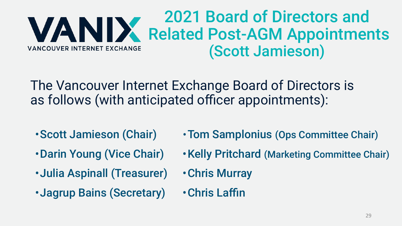#### 2021 Board of Directors and WANIX Related Post-AGM Appointments (Scott Jamieson) **VANCOUVER INTERNET EXCHANGE**

The Vancouver Internet Exchange Board of Directors is as follows (with anticipated officer appointments):

- •Scott Jamieson (Chair)
- •Darin Young (Vice Chair)
- •Julia Aspinall (Treasurer)
- •Jagrup Bains (Secretary)
- •Tom Samplonius (Ops Committee Chair)
- •Kelly Pritchard (Marketing Committee Chair)
- •Chris Murray
- •Chris Laffin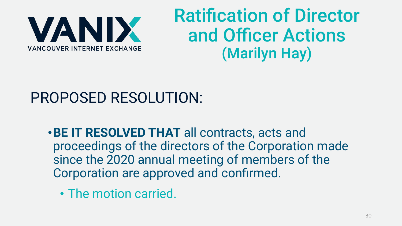

### Ratification of Director and Officer Actions (Marilyn Hay)

### PROPOSED RESOLUTION:

- •**BE IT RESOLVED THAT** all contracts, acts and proceedings of the directors of the Corporation made since the 2020 annual meeting of members of the Corporation are approved and confirmed.
	- The motion carried.